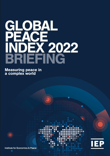# BRIEFING GLOBAL **PEACE** INDEX 2022

Measuring peace in a complex world





Institute for Economics & Peace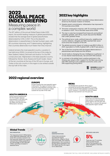## **2022 GLOBAL PEACE INDEX BRIEFING** Measuring peace in

## a complex world

The 16th edition of the annual Global Peace Index (GPI) report, the world's leading measure of global peacefulness, reveals that the average level of global peacefulness deteriorated by 0.3% in 2021. This is the eleventh deterioration in peacefulness in the last fourteen years, with 90 countries improving, and 71 deteriorating, highlighting that countries deteriorate much faster than they improve.

Iceland remains the most peaceful country, a position it has held since 2008. It is joined at the top of the index by New Zealand, Ireland, Denmark and Austria. For the fifth consecutive year, Afghanistan is the least peaceful country, followed by Yemen, Syria, Russia and South Sudan. Seven of the ten countries at the top of the GPI are in Europe, and Turkey is the only country in this region to be ranked outside the top half of the index.

## **2022 key highlights**

- > Deaths from external conflict recorded a sharp deterioration driven by the Russian invasion of Ukraine.
- > Despite recent commitments, militarisation has improved in 113 countries since 2008.
- > Terrorism continued to improve, with 70 countries recording no attacks in 2021. This is the best result since 2008.
- > The rise in costs has increased food insecurity and political instability globally, with Africa, South Asia and the Middle East under greatest threat.
- > The political terror scale, political insecurity, neighbouring country relations, refugees and IDPs reached their worst score since the inception of the GPI.
- > The global economic impact of violence was \$16.5 trillion in 2021, equivalent to 10.9% of global GDP, or \$2,117 per person.
- > Two of the five countries with the largest deteriorations in peacefulness were Russia and the Ukraine.
- Social media is changing the way intelligence is gathered it is now shared instantaneously, raw and with little analysis.
- In contrast to the global trend, positive sentiment in the Ukraine was rising in 2021. Support for the West was strong, with 58% wanting to join a Western economic union, and 54% supporting joining NATO.



## **2022 regional overview**

#### **EUROPE**

Europe remains the most peaceful region in the world. The region is home to four of the five most peaceful countries, and only one country in Europe is ranked outside the top half of the index.

#### **MENA**

The Middle East and North Africa region remained the world's least peaceful. It is home to two of the five least peaceful countries in the world. However, it recorded the second largest regional improvement over the past year.

#### **SOUTH ASIA**

South Asia recorded the largest improvement in peacefulness of all the regions over the past year. Despite this, it remains the second least peaceful region overall.

#### **SOUTH AMERICA**

South America experienced the third largest regional improvement in the 2022 GPI, owing to improvements in the Safety and Security and Militarisation domains.

## **Global Trends**

MILITARISATION **VIOLENT** 

The improving trend in Militarisation since 2008 was widespread, with 113 of the 163 countries covered in the GPI improving. Ninety-four countries reduced their military expenditure as a percentage of GDP, although military spending increased in absolute terms.



### **DEMONSTRATIONS**

Violent demonstrations recorded the largest deterioration, rising by 49 per cent since 2008. This indicator deteriorated in 126 countries of the 163 nations assessed in the GPI. MENA was the only region not to deteriorate.



#### REFUGEES AND IDPS



There are now 17 countries where at least five per cent of the population are either refugees or internally displaced.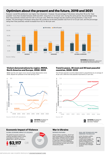## **Optimism about the present and the future, 2019 and 2021**

Russians' overall life satisfaction was higher than Ukrainians'. However, the percentage of Ukrainians rating their life as the "best possible" more than doubled between 2019 and 2021, rising from 2.1 to 4.9 per cent. During the same period, the percentage rating their lives positively overall rose from 28.7 to 41.3 per cent. While the change was also positive among Russians, it was much smaller. The percentage of Russians rating their life conditions as the best possible rose from 6.1 to 6.3 per cent, and the percentage rating their lives positively overall increased from 42.2 to 46.4 per cent.



**FOR MORE** INFORMATION [SEE THE WORLD RISK POLL: SPOTLIGHT](http://visionofhumanity.org/reports/)  ON UKRAINE AND RUSSIA BRIEFING

#### **Violent demonstrations by region, MENA, North America and Europe, 2008–2022**

MENA was the only region not to record a large deterioration since 2008, despite the upheaval of the Arab Spring in 2011.



#### **Economic Impact of Violence War in Ukraine**

GLOBAL ECONOMIC IMPACT OF VIOLENCE DEFENCE POSTURES

The global economic impact of violence was \$16.5 trillion in 2021, equivalent to 10.9 per cent of global GDP, or \$2,117 per person.





#### **Trend in peace, 25 most and 25 least peaceful countries, 2008–2022**

The 25 least peaceful countries deteriorated in peacefulness by an average of 16 per cent, while the most peaceful improved by 5.1 per cent.



Global military spending, which had been increasing at a moderate pace since 2014, received a boost in 2022. Many NATO countries have pledged to raise their defence budgets to **\$2,117** OR **\$2,117** OR **\$2,117 Evels closer to or above the NATO's recommended two per cent of GDP** 

#### DUAL-USE TECHNOLOGY AND EMERGING TECHNOLOGY

In the Ukrainian conflict, fifth generation (5G) mobile technologies, the social media revolution, artificial intelligence, and the greater affordability of drones have changed warfare.